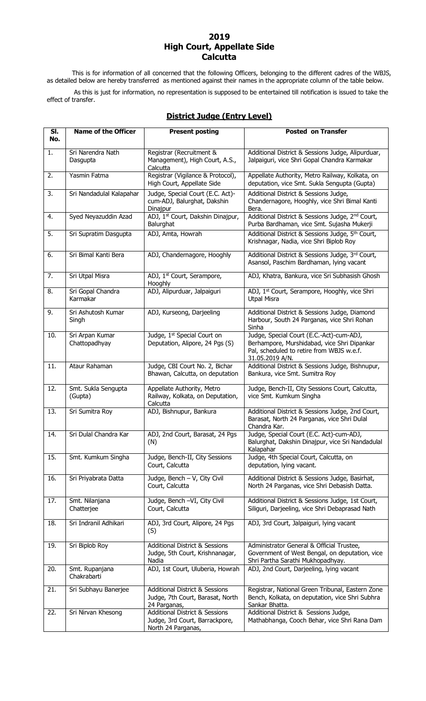#### **2019 High Court, Appellate Side Calcutta**

This is for information of all concerned that the following Officers, belonging to the different cadres of the WBJS, as detailed below are hereby transferred as mentioned against their names in the appropriate column of the table below.

As this is just for information, no representation is supposed to be entertained till notification is issued to take the effect of transfer.

| SI.<br>No.       | <b>Name of the Officer</b>       | <b>Present posting</b>                                                                            | <b>Posted on Transfer</b>                                                                                                                               |
|------------------|----------------------------------|---------------------------------------------------------------------------------------------------|---------------------------------------------------------------------------------------------------------------------------------------------------------|
|                  |                                  |                                                                                                   |                                                                                                                                                         |
| 1.               | Sri Narendra Nath<br>Dasgupta    | Registrar (Recruitment &<br>Management), High Court, A.S.,<br>Calcutta                            | Additional District & Sessions Judge, Alipurduar,<br>Jalpaiguri, vice Shri Gopal Chandra Karmakar                                                       |
| 2.               | Yasmin Fatma                     | Registrar (Vigilance & Protocol),<br>High Court, Appellate Side                                   | Appellate Authority, Metro Railway, Kolkata, on<br>deputation, vice Smt. Sukla Sengupta (Gupta)                                                         |
| $\overline{3}$ . | Sri Nandadulal Kalapahar         | Judge, Special Court (E.C. Act)-<br>cum-ADJ, Balurghat, Dakshin<br>Dinajpur                       | Additional District & Sessions Judge,<br>Chandernagore, Hooghly, vice Shri Bimal Kanti<br>Bera.                                                         |
| 4.               | Syed Neyazuddin Azad             | ADJ, 1st Court, Dakshin Dinajpur,<br>Balurghat                                                    | Additional District & Sessions Judge, 2 <sup>nd</sup> Court,<br>Purba Bardhaman, vice Smt. Sujasha Mukerji                                              |
| 5.               | Sri Supratim Dasgupta            | ADJ, Amta, Howrah                                                                                 | Additional District & Sessions Judge, 5th Court,<br>Krishnagar, Nadia, vice Shri Biplob Roy                                                             |
| 6.               | Sri Bimal Kanti Bera             | ADJ, Chandernagore, Hooghly                                                                       | Additional District & Sessions Judge, 3rd Court,<br>Asansol, Paschim Bardhaman, lying vacant                                                            |
| $\overline{7}$ . | Sri Utpal Misra                  | ADJ, 1st Court, Serampore,<br>Hooghly                                                             | ADJ, Khatra, Bankura, vice Sri Subhasish Ghosh                                                                                                          |
| 8.               | Sri Gopal Chandra<br>Karmakar    | ADJ, Alipurduar, Jalpaiguri                                                                       | ADJ, 1 <sup>st</sup> Court, Serampore, Hooghly, vice Shri<br><b>Utpal Misra</b>                                                                         |
| 9.               | Sri Ashutosh Kumar<br>Singh      | ADJ, Kurseong, Darjeeling                                                                         | Additional District & Sessions Judge, Diamond<br>Harbour, South 24 Parganas, vice Shri Rohan<br>Sinha                                                   |
| 10.              | Sri Arpan Kumar<br>Chattopadhyay | Judge, 1st Special Court on<br>Deputation, Alipore, 24 Pgs (S)                                    | Judge, Special Court (E.C.-Act)-cum-ADJ,<br>Berhampore, Murshidabad, vice Shri Dipankar<br>Pal, scheduled to retire from WBJS w.e.f.<br>31.05.2019 A/N. |
| 11.              | Ataur Rahaman                    | Judge, CBI Court No. 2, Bichar<br>Bhawan, Calcutta, on deputation                                 | Additional District & Sessions Judge, Bishnupur,<br>Bankura, vice Smt. Sumitra Roy                                                                      |
| 12.              | Smt. Sukla Sengupta<br>(Gupta)   | Appellate Authority, Metro<br>Railway, Kolkata, on Deputation,<br>Calcutta                        | Judge, Bench-II, City Sessions Court, Calcutta,<br>vice Smt. Kumkum Singha                                                                              |
| 13.              | Sri Sumitra Roy                  | ADJ, Bishnupur, Bankura                                                                           | Additional District & Sessions Judge, 2nd Court,<br>Barasat, North 24 Parganas, vice Shri Dulal<br>Chandra Kar.                                         |
| 14.              | Sri Dulal Chandra Kar            | ADJ, 2nd Court, Barasat, 24 Pgs<br>(N)                                                            | Judge, Special Court (E.C. Act)-cum-ADJ,<br>Balurghat, Dakshin Dinajpur, vice Sri Nandadulal<br>Kalapahar                                               |
| 15.              | Smt. Kumkum Singha               | Judge, Bench-II, City Sessions<br>Court, Calcutta                                                 | Judge, 4th Special Court, Calcutta, on<br>deputation, lying vacant.                                                                                     |
| 16.              | Sri Priyabrata Datta             | Judge, Bench - V, City Civil<br>Court, Calcutta                                                   | Additional District & Sessions Judge, Basirhat,<br>North 24 Parganas, vice Shri Debasish Datta.                                                         |
| 17.              | Smt. Nilanjana<br>Chatterjee     | Judge, Bench -VI, City Civil<br>Court, Calcutta                                                   | Additional District & Sessions Judge, 1st Court,<br>Siliguri, Darjeeling, vice Shri Debaprasad Nath                                                     |
| 18.              | Sri Indranil Adhikari            | ADJ, 3rd Court, Alipore, 24 Pgs<br>(S)                                                            | ADJ, 3rd Court, Jalpaiguri, lying vacant                                                                                                                |
| 19.              | Sri Biplob Roy                   | <b>Additional District &amp; Sessions</b><br>Judge, 5th Court, Krishnanagar,<br>Nadia             | Administrator General & Official Trustee,<br>Government of West Bengal, on deputation, vice<br>Shri Partha Sarathi Mukhopadhyay.                        |
| 20.              | Smt. Rupanjana<br>Chakrabarti    | ADJ, 1st Court, Uluberia, Howrah                                                                  | ADJ, 2nd Court, Darjeeling, lying vacant                                                                                                                |
| 21.              | Sri Subhayu Banerjee             | <b>Additional District &amp; Sessions</b><br>Judge, 7th Court, Barasat, North<br>24 Parganas,     | Registrar, National Green Tribunal, Eastern Zone<br>Bench, Kolkata, on deputation, vice Shri Subhra<br>Sankar Bhatta.                                   |
| 22.              | Sri Nirvan Khesong               | <b>Additional District &amp; Sessions</b><br>Judge, 3rd Court, Barrackpore,<br>North 24 Parganas, | Additional District & Sessions Judge,<br>Mathabhanga, Cooch Behar, vice Shri Rana Dam                                                                   |

#### **District Judge (Entry Level)**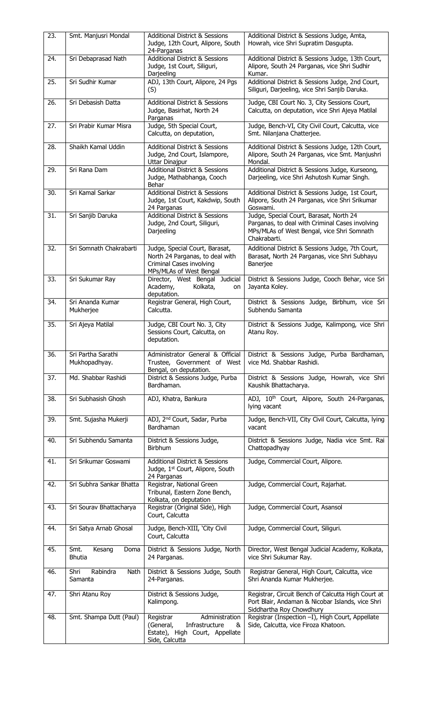| 23. | Smt. Manjusri Mondal                    | <b>Additional District &amp; Sessions</b>                                                                                | Additional District & Sessions Judge, Amta,                                                                                                              |
|-----|-----------------------------------------|--------------------------------------------------------------------------------------------------------------------------|----------------------------------------------------------------------------------------------------------------------------------------------------------|
|     |                                         | Judge, 12th Court, Alipore, South<br>24-Parganas                                                                         | Howrah, vice Shri Supratim Dasgupta.                                                                                                                     |
| 24. | Sri Debaprasad Nath                     | <b>Additional District &amp; Sessions</b><br>Judge, 1st Court, Siliguri,<br>Darjeeling                                   | Additional District & Sessions Judge, 13th Court,<br>Alipore, South 24 Parganas, vice Shri Sudhir<br>Kumar.                                              |
| 25. | Sri Sudhir Kumar                        | ADJ, 13th Court, Alipore, 24 Pgs<br>(S)                                                                                  | Additional District & Sessions Judge, 2nd Court,<br>Siliguri, Darjeeling, vice Shri Sanjib Daruka.                                                       |
| 26. | Sri Debasish Datta                      | <b>Additional District &amp; Sessions</b><br>Judge, Basirhat, North 24<br>Parganas                                       | Judge, CBI Court No. 3, City Sessions Court,<br>Calcutta, on deputation, vice Shri Ajeya Matilal                                                         |
| 27. | Sri Prabir Kumar Misra                  | Judge, 5th Special Court,<br>Calcutta, on deputation,                                                                    | Judge, Bench-VI, City Civil Court, Calcutta, vice<br>Smt. Nilanjana Chatterjee.                                                                          |
| 28. | Shaikh Kamal Uddin                      | <b>Additional District &amp; Sessions</b><br>Judge, 2nd Court, Islampore,<br>Uttar Dinajpur                              | Additional District & Sessions Judge, 12th Court,<br>Alipore, South 24 Parganas, vice Smt. Manjushri<br>Mondal.                                          |
| 29. | Sri Rana Dam                            | <b>Additional District &amp; Sessions</b><br>Judge, Mathabhanga, Cooch<br>Behar                                          | Additional District & Sessions Judge, Kurseong,<br>Darjeeling, vice Shri Ashutosh Kumar Singh.                                                           |
| 30. | Sri Kamal Sarkar                        | <b>Additional District &amp; Sessions</b><br>Judge, 1st Court, Kakdwip, South<br>24 Parganas                             | Additional District & Sessions Judge, 1st Court,<br>Alipore, South 24 Parganas, vice Shri Srikumar<br>Goswami.                                           |
| 31. | Sri Sanjib Daruka                       | <b>Additional District &amp; Sessions</b><br>Judge, 2nd Court, Siliguri,<br>Darjeeling                                   | Judge, Special Court, Barasat, North 24<br>Parganas, to deal with Criminal Cases involving<br>MPs/MLAs of West Bengal, vice Shri Somnath<br>Chakrabarti. |
| 32. | Sri Somnath Chakrabarti                 | Judge, Special Court, Barasat,<br>North 24 Parganas, to deal with<br>Criminal Cases involving<br>MPs/MLAs of West Bengal | Additional District & Sessions Judge, 7th Court,<br>Barasat, North 24 Parganas, vice Shri Subhayu<br>Banerjee                                            |
| 33. | Sri Sukumar Ray                         | Director, West Bengal Judicial<br>Kolkata,<br>Academy,<br>on<br>deputation.                                              | District & Sessions Judge, Cooch Behar, vice Sri<br>Jayanta Koley.                                                                                       |
| 34. | Sri Ananda Kumar<br>Mukherjee           | Registrar General, High Court,<br>Calcutta.                                                                              | District & Sessions Judge, Birbhum, vice Sri<br>Subhendu Samanta                                                                                         |
| 35. | Sri Ajeya Matilal                       | Judge, CBI Court No. 3, City<br>Sessions Court, Calcutta, on<br>deputation.                                              | District & Sessions Judge, Kalimpong, vice Shri<br>Atanu Roy.                                                                                            |
| 36. | Sri Partha Sarathi<br>Mukhopadhyay.     | Administrator General & Official<br>Trustee, Government of West<br>Bengal, on deputation.                                | District & Sessions Judge, Purba Bardhaman,<br>vice Md. Shabbar Rashidi.                                                                                 |
| 37. | Md. Shabbar Rashidi                     | District & Sessions Judge, Purba<br>Bardhaman.                                                                           | District & Sessions Judge, Howrah, vice Shri<br>Kaushik Bhattacharya.                                                                                    |
| 38. | Sri Subhasish Ghosh                     | ADJ, Khatra, Bankura                                                                                                     | ADJ, 10 <sup>th</sup> Court, Alipore, South 24-Parganas,<br>lying vacant                                                                                 |
| 39. | Smt. Sujasha Mukerji                    | ADJ, 2 <sup>nd</sup> Court, Sadar, Purba<br>Bardhaman                                                                    | Judge, Bench-VII, City Civil Court, Calcutta, lying<br>vacant                                                                                            |
| 40. | Sri Subhendu Samanta                    | District & Sessions Judge,<br><b>Birbhum</b>                                                                             | District & Sessions Judge, Nadia vice Smt. Rai<br>Chattopadhyay                                                                                          |
| 41. | Sri Srikumar Goswami                    | <b>Additional District &amp; Sessions</b><br>Judge, 1st Court, Alipore, South<br>24 Parganas                             | Judge, Commercial Court, Alipore.                                                                                                                        |
| 42. | Sri Subhra Sankar Bhatta                | Registrar, National Green<br>Tribunal, Eastern Zone Bench,<br>Kolkata, on deputation                                     | Judge, Commercial Court, Rajarhat.                                                                                                                       |
| 43. | Sri Sourav Bhattacharya                 | Registrar (Original Side), High<br>Court, Calcutta                                                                       | Judge, Commercial Court, Asansol                                                                                                                         |
| 44. | Sri Satya Arnab Ghosal                  | Judge, Bench-XIII, 'City Civil<br>Court, Calcutta                                                                        | Judge, Commercial Court, Siliguri.                                                                                                                       |
| 45. | Smt.<br>Kesang<br>Doma<br><b>Bhutia</b> | District & Sessions Judge, North<br>24 Parganas.                                                                         | Director, West Bengal Judicial Academy, Kolkata,<br>vice Shri Sukumar Ray.                                                                               |
| 46. | Rabindra<br>Shri<br>Nath<br>Samanta     | District & Sessions Judge, South<br>24-Parganas.                                                                         | Registrar General, High Court, Calcutta, vice<br>Shri Ananda Kumar Mukherjee.                                                                            |
| 47. | Shri Atanu Roy                          | District & Sessions Judge,<br>Kalimpong.                                                                                 | Registrar, Circuit Bench of Calcutta High Court at<br>Port Blair, Andaman & Nicobar Islands, vice Shri<br>Siddhartha Roy Chowdhury                       |
| 48. | Smt. Shampa Dutt (Paul)                 | Administration<br>Registrar<br>(General,<br>Infrastructure<br>&<br>Estate), High Court, Appellate<br>Side, Calcutta      | Registrar (Inspection -I), High Court, Appellate<br>Side, Calcutta, vice Firoza Khatoon.                                                                 |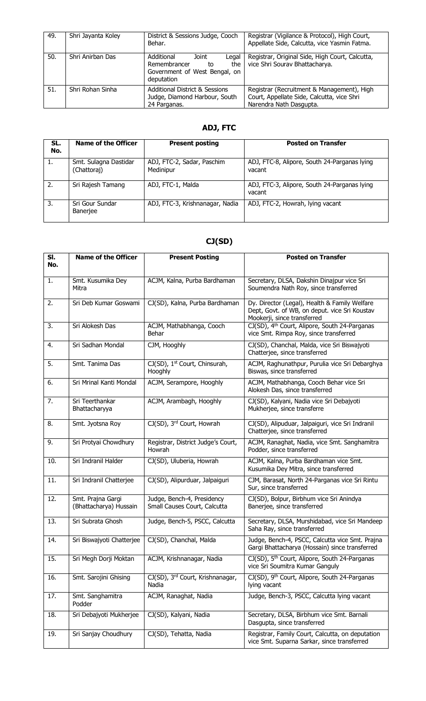| 49. | Shri Jayanta Koley | District & Sessions Judge, Cooch<br>Behar.                                                               | Registrar (Vigilance & Protocol), High Court,<br>Appellate Side, Calcutta, vice Yasmin Fatma.                       |
|-----|--------------------|----------------------------------------------------------------------------------------------------------|---------------------------------------------------------------------------------------------------------------------|
| 50. | Shri Anirban Das   | Additional<br>Joint<br>Legal<br>Remembrancer<br>the<br>to<br>Government of West Bengal, on<br>deputation | Registrar, Original Side, High Court, Calcutta,<br>vice Shri Sourav Bhattacharya.                                   |
| 51. | Shri Rohan Sinha   | <b>Additional District &amp; Sessions</b><br>Judge, Diamond Harbour, South<br>24 Parganas.               | Registrar (Recruitment & Management), High<br>Court, Appellate Side, Calcutta, vice Shri<br>Narendra Nath Dasgupta. |

## **ADJ, FTC**

| SL.<br>No.       | <b>Name of the Officer</b>           | <b>Present posting</b>                  | <b>Posted on Transfer</b>                              |
|------------------|--------------------------------------|-----------------------------------------|--------------------------------------------------------|
| 1.               | Smt. Sulagna Dastidar<br>(Chattoraj) | ADJ, FTC-2, Sadar, Paschim<br>Medinipur | ADJ, FTC-8, Alipore, South 24-Parganas lying<br>vacant |
| 2.               | Sri Rajesh Tamang                    | ADJ, FTC-1, Malda                       | ADJ, FTC-3, Alipore, South 24-Parganas lying<br>vacant |
| $\overline{3}$ . | Sri Gour Sundar<br>Banerjee          | ADJ, FTC-3, Krishnanagar, Nadia         | ADJ, FTC-2, Howrah, lying vacant                       |

## **CJ(SD)**

| SI.<br>No. | <b>Name of the Officer</b>                  | <b>Present Posting</b>                                     | <b>Posted on Transfer</b>                                                                                                     |
|------------|---------------------------------------------|------------------------------------------------------------|-------------------------------------------------------------------------------------------------------------------------------|
|            |                                             |                                                            |                                                                                                                               |
| 1.         | Smt. Kusumika Dey<br>Mitra                  | ACJM, Kalna, Purba Bardhaman                               | Secretary, DLSA, Dakshin Dinajpur vice Sri<br>Soumendra Nath Roy, since transferred                                           |
| 2.         | Sri Deb Kumar Goswami                       | CJ(SD), Kalna, Purba Bardhaman                             | Dy. Director (Legal), Health & Family Welfare<br>Dept, Govt. of WB, on deput. vice Sri Koustav<br>Mookerji, since transferred |
| 3.         | Sri Alokesh Das                             | ACJM, Mathabhanga, Cooch<br>Behar                          | CJ(SD), 4th Court, Alipore, South 24-Parganas<br>vice Smt. Rimpa Roy, since transferred                                       |
| 4.         | Sri Sadhan Mondal                           | CJM, Hooghly                                               | CJ(SD), Chanchal, Malda, vice Sri Biswajyoti<br>Chatterjee, since transferred                                                 |
| 5.         | Smt. Tanima Das                             | CJ(SD), 1 <sup>st</sup> Court, Chinsurah,<br>Hooghly       | ACJM, Raghunathpur, Purulia vice Sri Debarghya<br>Biswas, since transferred                                                   |
| 6.         | Sri Mrinal Kanti Mondal                     | ACJM, Serampore, Hooghly                                   | ACJM, Mathabhanga, Cooch Behar vice Sri<br>Alokesh Das, since transferred                                                     |
| 7.         | Sri Teerthankar<br>Bhattacharyya            | ACJM, Arambagh, Hooghly                                    | CJ(SD), Kalyani, Nadia vice Sri Debajyoti<br>Mukherjee, since transferre                                                      |
| 8.         | Smt. Jyotsna Roy                            | CJ(SD), 3rd Court, Howrah                                  | CJ(SD), Alipuduar, Jalpaiguri, vice Sri Indranil<br>Chatterjee, since transferred                                             |
| 9.         | Sri Protyai Chowdhury                       | Registrar, District Judge's Court,<br>Howrah               | ACJM, Ranaghat, Nadia, vice Smt. Sanghamitra<br>Podder, since transferred                                                     |
| 10.        | Sri Indranil Halder                         | CJ(SD), Uluberia, Howrah                                   | ACJM, Kalna, Purba Bardhaman vice Smt.<br>Kusumika Dey Mitra, since transferred                                               |
| 11.        | Sri Indranil Chatterjee                     | CJ(SD), Alipurduar, Jalpaiguri                             | CJM, Barasat, North 24-Parganas vice Sri Rintu<br>Sur, since transferred                                                      |
| 12.        | Smt. Prajna Gargi<br>(Bhattacharya) Hussain | Judge, Bench-4, Presidency<br>Small Causes Court, Calcutta | CJ(SD), Bolpur, Birbhum vice Sri Anindya<br>Banerjee, since transferred                                                       |
| 13.        | Sri Subrata Ghosh                           | Judge, Bench-5, PSCC, Calcutta                             | Secretary, DLSA, Murshidabad, vice Sri Mandeep<br>Saha Ray, since transferred                                                 |
| 14.        | Sri Biswajyoti Chatterjee                   | CJ(SD), Chanchal, Malda                                    | Judge, Bench-4, PSCC, Calcutta vice Smt. Prajna<br>Gargi Bhattacharya (Hossain) since transferred                             |
| 15.        | Sri Megh Dorji Moktan                       | ACJM, Krishnanagar, Nadia                                  | CJ(SD), 5 <sup>th</sup> Court, Alipore, South 24-Parganas<br>vice Sri Soumitra Kumar Ganguly                                  |
| 16.        | Smt. Sarojini Ghising                       | CJ(SD), 3rd Court, Krishnanagar,<br>Nadia                  | CJ(SD), 9th Court, Alipore, South 24-Parganas<br>lying vacant                                                                 |
| 17.        | Smt. Sanghamitra<br>Podder                  | ACJM, Ranaghat, Nadia                                      | Judge, Bench-3, PSCC, Calcutta lying vacant                                                                                   |
| 18.        | Sri Debajyoti Mukherjee                     | CJ(SD), Kalyani, Nadia                                     | Secretary, DLSA, Birbhum vice Smt. Barnali<br>Dasgupta, since transferred                                                     |
| 19.        | Sri Sanjay Choudhury                        | CJ(SD), Tehatta, Nadia                                     | Registrar, Family Court, Calcutta, on deputation<br>vice Smt. Suparna Sarkar, since transferred                               |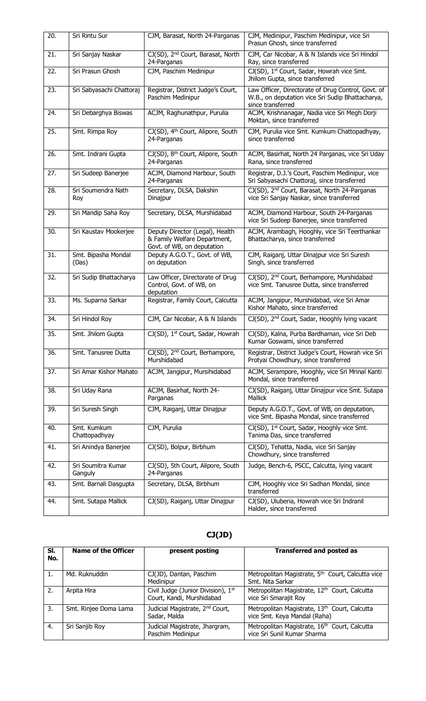| 20. | Sri Rintu Sur                 | CJM, Barasat, North 24-Parganas                                                               | CJM, Medinipur, Paschim Medinipur, vice Sri<br>Prasun Ghosh, since transferred                                              |
|-----|-------------------------------|-----------------------------------------------------------------------------------------------|-----------------------------------------------------------------------------------------------------------------------------|
| 21. | Sri Sanjay Naskar             | CJ(SD), 2 <sup>nd</sup> Court, Barasat, North<br>24-Parganas                                  | CJM, Car Nicobar, A & N Islands vice Sri Hindol<br>Ray, since transferred                                                   |
| 22. | Sri Prasun Ghosh              | CJM, Paschim Medinipur                                                                        | CJ(SD), 1st Court, Sadar, Howrah vice Smt.<br>Jhilom Gupta, since transferred                                               |
| 23. | Sri Sabyasachi Chattoraj      | Registrar, District Judge's Court,<br>Paschim Medinipur                                       | Law Officer, Directorate of Drug Control, Govt. of<br>W.B., on deputation vice Sri Sudip Bhattacharya,<br>since transferred |
| 24. | Sri Debarghya Biswas          | ACJM, Raghunathpur, Purulia                                                                   | ACJM, Krishnanagar, Nadia vice Sri Megh Dorji<br>Moktan, since transferred                                                  |
| 25. | Smt. Rimpa Roy                | CJ(SD), 4 <sup>th</sup> Court, Alipore, South<br>24-Parganas                                  | CJM, Purulia vice Smt. Kumkum Chattopadhyay,<br>since transferred                                                           |
| 26. | Smt. Indrani Gupta            | CJ(SD), 8 <sup>th</sup> Court, Alipore, South<br>24-Parganas                                  | ACJM, Basirhat, North 24 Parganas, vice Sri Uday<br>Rana, since transferred                                                 |
| 27. | Sri Sudeep Banerjee           | ACJM, Diamond Harbour, South<br>24-Parganas                                                   | Registrar, D.J.'s Court, Paschim Medinipur, vice<br>Sri Sabyasachi Chattoraj, since transferred                             |
| 28. | Sri Soumendra Nath<br>Roy     | Secretary, DLSA, Dakshin<br>Dinajpur                                                          | CJ(SD), 2 <sup>nd</sup> Court, Barasat, North 24-Parganas<br>vice Sri Sanjay Naskar, since transferred                      |
| 29. | Sri Mandip Saha Roy           | Secretary, DLSA, Murshidabad                                                                  | ACJM, Diamond Harbour, South 24-Parganas<br>vice Sri Sudeep Banerjee, since transferred                                     |
| 30. | Sri Kaustav Mookerjee         | Deputy Director (Legal), Health<br>& Family Welfare Department,<br>Govt. of WB, on deputation | ACJM, Arambagh, Hooghly, vice Sri Teerthankar<br>Bhattacharya, since transferred                                            |
| 31. | Smt. Bipasha Mondal<br>(Das)  | Deputy A.G.O.T., Govt. of WB,<br>on deputation                                                | CJM, Raiganj, Uttar Dinajpur vice Sri Suresh<br>Singh, since transferred                                                    |
| 32. | Sri Sudip Bhattacharya        | Law Officer, Directorate of Drug<br>Control, Govt. of WB, on<br>deputation                    | CJ(SD), 2 <sup>nd</sup> Court, Berhampore, Murshidabad<br>vice Smt. Tanusree Dutta, since transferred                       |
| 33. | Ms. Suparna Sarkar            | Registrar, Family Court, Calcutta                                                             | ACJM, Jangipur, Murshidabad, vice Sri Amar<br>Kishor Mahato, since transferred                                              |
| 34. | Sri Hindol Roy                | CJM, Car Nicobar, A & N Islands                                                               | CJ(SD), 2 <sup>nd</sup> Court, Sadar, Hooghly lying vacant                                                                  |
| 35. | Smt. Jhilom Gupta             | CJ(SD), 1 <sup>st</sup> Court, Sadar, Howrah                                                  | CJ(SD), Kalna, Purba Bardhaman, vice Sri Deb<br>Kumar Goswami, since transferred                                            |
| 36. | Smt. Tanusree Dutta           | CJ(SD), 2 <sup>nd</sup> Court, Berhampore,<br>Murshidabad                                     | Registrar, District Judge's Court, Howrah vice Sri<br>Protyai Chowdhury, since transferred                                  |
| 37. | Sri Amar Kishor Mahato        | ACJM, Jangipur, Mursihidabad                                                                  | ACJM, Serampore, Hooghly, vice Sri Mrinal Kanti<br>Mondal, since transferred                                                |
| 38. | Sri Uday Rana                 | ACJM, Basirhat, North 24-<br>Parganas                                                         | CJ(SD), Raiganj, Uttar Dinajpur vice Smt. Sutapa<br><b>Mallick</b>                                                          |
| 39. | Sri Suresh Singh              | CJM, Raiganj, Uttar Dinajpur                                                                  | Deputy A.G.O.T., Govt. of WB, on deputation,<br>vice Smt. Bipasha Mondal, since transferred                                 |
| 40. | Smt. Kumkum<br>Chattopadhyay  | CJM, Purulia                                                                                  | CJ(SD), 1st Court, Sadar, Hooghly vice Smt.<br>Tanima Das, since transferred                                                |
| 41. | Sri Anindya Banerjee          | CJ(SD), Bolpur, Birbhum                                                                       | CJ(SD), Tehatta, Nadia, vice Sri Sanjay<br>Chowdhury, since transferred                                                     |
| 42. | Sri Soumitra Kumar<br>Ganguly | CJ(SD), 5th Court, Alipore, South<br>24-Parganas                                              | Judge, Bench-6, PSCC, Calcutta, lying vacant                                                                                |
| 43. | Smt. Barnali Dasgupta         | Secretary, DLSA, Birbhum                                                                      | CJM, Hooghly vice Sri Sadhan Mondal, since<br>transferred                                                                   |
| 44. | Smt. Sutapa Mallick           | CJ(SD), Raiganj, Uttar Dinajpur                                                               | CJ(SD), Uluberia, Howrah vice Sri Indranil<br>Halder, since transferred                                                     |

# **CJ(JD)**

| SI.<br>No. | Name of the Officer   | present posting                                                 | <b>Transferred and posted as</b>                                                         |
|------------|-----------------------|-----------------------------------------------------------------|------------------------------------------------------------------------------------------|
| 1.         | Md. Ruknuddin         | CJ(JD), Dantan, Paschim<br>Medinipur                            | Metropolitan Magistrate, 5 <sup>th</sup> Court, Calcutta vice<br>Smt. Nita Sarkar        |
| 2.         | Arpita Hira           | Civil Judge (Junior Division), 1st<br>Court, Kandi, Murshidabad | Metropolitan Magistrate, 12 <sup>th</sup> Court, Calcutta<br>vice Sri Smarajit Roy       |
| 3.         | Smt. Rinjee Doma Lama | Judicial Magistrate, 2 <sup>nd</sup> Court,<br>Sadar, Malda     | Metropolitan Magistrate, 13th Court, Calcutta<br>vice Smt. Keya Mandal (Raha)            |
| 4.         | Sri Sanjib Roy        | Judicial Magistrate, Jhargram,<br>Paschim Medinipur             | Metropolitan Magistrate, 16 <sup>th</sup> Court, Calcutta<br>vice Sri Sunil Kumar Sharma |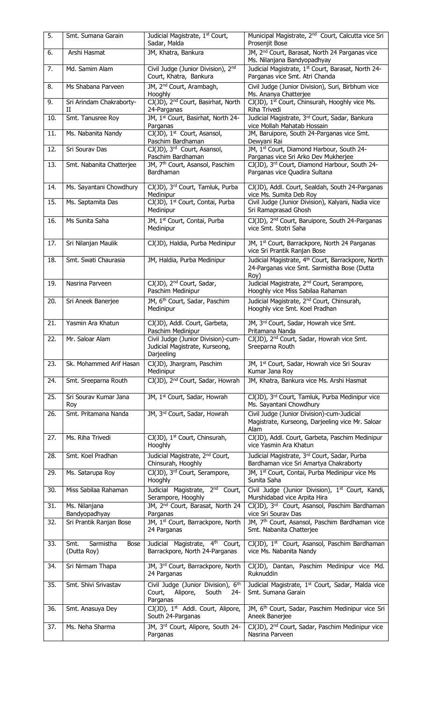| 5.  | Smt. Sumana Garain                              | Judicial Magistrate, 1st Court,<br>Sadar, Malda                                      | Municipal Magistrate, 2 <sup>nd</sup> Court, Calcutta vice Sri<br>Prosenjit Bose                                      |
|-----|-------------------------------------------------|--------------------------------------------------------------------------------------|-----------------------------------------------------------------------------------------------------------------------|
| 6.  | Arshi Hasmat                                    | JM, Khatra, Bankura                                                                  | JM, 2 <sup>nd</sup> Court, Barasat, North 24 Parganas vice<br>Ms. Nilanjana Bandyopadhyay                             |
| 7.  | Md. Samim Alam                                  | Civil Judge (Junior Division), 2nd<br>Court, Khatra, Bankura                         | Judicial Magistrate, 1st Court, Barasat, North 24-<br>Parganas vice Smt. Atri Chanda                                  |
| 8.  | Ms Shabana Parveen                              | JM, 2 <sup>nd</sup> Court, Arambagh,<br><b>Hooghly</b>                               | Civil Judge (Junior Division), Suri, Birbhum vice<br>Ms. Ananya Chatterjee                                            |
| 9.  | Sri Arindam Chakraborty-<br>П                   | CJ(JD), 2 <sup>nd</sup> Court, Basirhat, North<br>24-Parganas                        | CJ(JD), 1 <sup>st</sup> Court, Chinsurah, Hooghly vice Ms.<br>Riha Trivedi                                            |
| 10. | Smt. Tanusree Roy                               | JM, 1st Court, Basirhat, North 24-<br>Parganas                                       | Judicial Magistrate, 3rd Court, Sadar, Bankura<br>vice Mollah Mahatab Hossain                                         |
| 11. | Ms. Nabanita Nandy                              | CJ(JD), 1 <sup>st</sup> Court, Asansol,<br>Paschim Bardhaman                         | JM, Baruipore, South 24-Parganas vice Smt.<br>Dewyani Rai                                                             |
| 12. | Sri Sourav Das                                  | CJ(JD), 3rd Court, Asansol,<br>Paschim Bardhaman                                     | JM, 1st Court, Diamond Harbour, South 24-<br>Parganas vice Sri Arko Dev Mukherjee                                     |
| 13. | Smt. Nabanita Chatterjee                        | JM, 7 <sup>th</sup> Court, Asansol, Paschim<br>Bardhaman                             | CJ(JD), 3rd Court, Diamond Harbour, South 24-<br>Parganas vice Quadira Sultana                                        |
| 14. | Ms. Sayantani Chowdhury                         | CJ(JD), 3rd Court, Tamluk, Purba<br>Medinipur                                        | CJ(JD), Addl. Court, Sealdah, South 24-Parganas<br>vice Ms. Sumita Deb Roy                                            |
| 15. | Ms. Saptamita Das                               | CJ(JD), 1st Court, Contai, Purba<br>Medinipur                                        | Civil Judge (Junior Division), Kalyani, Nadia vice<br>Sri Ramaprasad Ghosh                                            |
| 16. | Ms Sunita Saha                                  | JM, 1st Court, Contai, Purba<br>Medinipur                                            | CJ(JD), 2 <sup>nd</sup> Court, Baruipore, South 24-Parganas<br>vice Smt. Stotri Saha                                  |
| 17. | Sri Nilanjan Maulik                             | CJ(JD), Haldia, Purba Medinipur                                                      | JM, 1st Court, Barrackpore, North 24 Parganas<br>vice Sri Prantik Ranjan Bose                                         |
| 18. | Smt. Swati Chaurasia                            | JM, Haldia, Purba Medinipur                                                          | Judicial Magistrate, 4 <sup>th</sup> Court, Barrackpore, North<br>24-Parganas vice Smt. Sarmistha Bose (Dutta<br>Roy) |
| 19. | Nasrina Parveen                                 | CJ(JD), 2 <sup>nd</sup> Court, Sadar,<br>Paschim Medinipur                           | Judicial Magistrate, 2 <sup>nd</sup> Court, Serampore,<br>Hooghly vice Miss Sabilaa Rahaman                           |
| 20. | Sri Aneek Banerjee                              | JM, 6 <sup>th</sup> Court, Sadar, Paschim<br>Medinipur                               | Judicial Magistrate, 2 <sup>nd</sup> Court, Chinsurah,<br>Hooghly vice Smt. Koel Pradhan                              |
| 21. | Yasmin Ara Khatun                               | CJ(JD), Addl. Court, Garbeta,<br>Paschim Medinipur                                   | JM, 3rd Court, Sadar, Howrah vice Smt.<br>Pritamana Nanda                                                             |
| 22. | Mr. Saloar Alam                                 | Civil Judge (Junior Division)-cum-<br>Judicial Magistrate, Kurseong,<br>Darjeeling   | CJ(JD), 2 <sup>nd</sup> Court, Sadar, Howrah vice Smt.<br>Sreeparna Routh                                             |
| 23. | Sk. Mohammed Arif Hasan                         | CJ(JD), Jhargram, Paschim<br>Medinipur                                               | JM, 1st Court, Sadar, Howrah vice Sri Sourav<br>Kumar Jana Roy                                                        |
| 24. | Smt. Sreeparna Routh                            | CJ(JD), 2 <sup>nd</sup> Court, Sadar, Howrah                                         | JM, Khatra, Bankura vice Ms. Arshi Hasmat                                                                             |
| 25. | Sri Sourav Kumar Jana<br>Roy                    | JM, 1st Court, Sadar, Howrah                                                         | CJ(JD), 3rd Court, Tamluk, Purba Medinipur vice<br>Ms. Sayantani Chowdhury                                            |
| 26. | Smt. Pritamana Nanda                            | JM, 3rd Court, Sadar, Howrah                                                         | Civil Judge (Junior Division)-cum-Judicial<br>Magistrate, Kurseong, Darjeeling vice Mr. Saloar<br>Alam                |
| 27. | Ms. Riha Trivedi                                | CJ(JD), 1 <sup>st</sup> Court, Chinsurah,<br>Hooghly                                 | CJ(JD), Addl. Court, Garbeta, Paschim Medinipur<br>vice Yasmin Ara Khatun                                             |
| 28. | Smt. Koel Pradhan                               | Judicial Magistrate, 2 <sup>nd</sup> Court,<br>Chinsurah, Hooghly                    | Judicial Magistrate, 3rd Court, Sadar, Purba<br>Bardhaman vice Sri Amartya Chakraborty                                |
| 29. | Ms. Satarupa Roy                                | CJ(JD), 3rd Court, Serampore,<br>Hooghly                                             | JM, 1st Court, Contai, Purba Medinipur vice Ms<br>Sunita Saha                                                         |
| 30. | Miss Sabilaa Rahaman                            | Judicial Magistrate, 2 <sup>nd</sup> Court,<br>Serampore, Hooghly                    | Civil Judge (Junior Division), 1 <sup>st</sup> Court, Kandi,<br>Murshidabad vice Arpita Hira                          |
| 31. | Ms. Nilanjana<br>Bandyopadhyay                  | JM, 2 <sup>nd</sup> Court, Barasat, North 24<br>Parganas                             | CJ(JD), 3rd Court, Asansol, Paschim Bardhaman<br>vice Sri Sourav Das                                                  |
| 32. | Sri Prantik Ranjan Bose                         | JM, 1st Court, Barrackpore, North<br>24 Parganas                                     | JM, 7 <sup>th</sup> Court, Asansol, Paschim Bardhaman vice<br>Smt. Nabanita Chatterjee                                |
| 33. | Sarmistha<br>Smt.<br><b>Bose</b><br>(Dutta Roy) | Judicial Magistrate, 4th Court,<br>Barrackpore, North 24-Parganas                    | CJ(JD), 1st Court, Asansol, Paschim Bardhaman<br>vice Ms. Nabanita Nandy                                              |
| 34. | Sri Nirmam Thapa                                | JM, 3rd Court, Barrackpore, North<br>24 Parganas                                     | CJ(JD), Dantan, Paschim Medinipur vice Md.<br>Ruknuddin                                                               |
| 35. | Smt. Shivi Srivastav                            | Civil Judge (Junior Division), 6th<br>Court,<br>Alipore,<br>South<br>24-<br>Parganas | Judicial Magistrate, 1st Court, Sadar, Malda vice<br>Smt. Sumana Garain                                               |
| 36. | Smt. Anasuya Dey                                | CJ(JD), 1st Addl. Court, Alipore,<br>South 24-Parganas                               | JM, 6 <sup>th</sup> Court, Sadar, Paschim Medinipur vice Sri<br>Aneek Banerjee                                        |
| 37. | Ms. Neha Sharma                                 | JM, 3rd Court, Alipore, South 24-<br>Parganas                                        | CJ(JD), 2 <sup>nd</sup> Court, Sadar, Paschim Medinipur vice<br>Nasrina Parveen                                       |